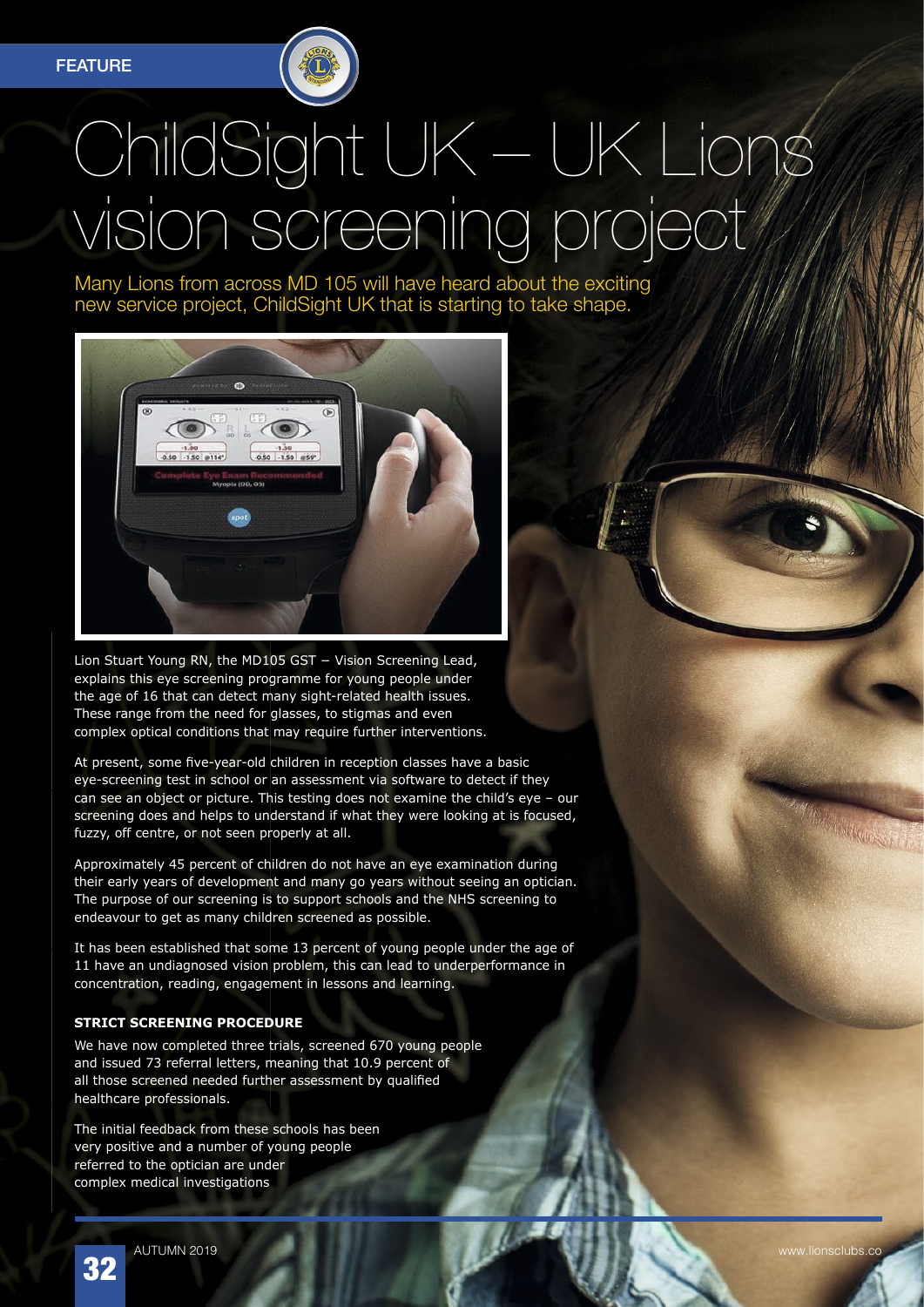## ChildSight UK – UK Lions vision screening project

Many Lions from across MD 105 will have heard about the exciting new service project, ChildSight UK that is starting to take shape.



Lion Stuart Young RN, the MD105 GST − Vision Screening Lead, explains this eye screening programme for young people under the age of 16 that can detect many sight-related health issues. These range from the need for glasses, to stigmas and even complex optical conditions that may require further interventions.

At present, some five-year-old children in reception classes have a basic eye-screening test in school or an assessment via software to detect if they can see an object or picture. This testing does not examine the child's eye – our screening does and helps to understand if what they were looking at is focused, fuzzy, off centre, or not seen properly at all.

Approximately 45 percent of children do not have an eye examination during their early years of development and many go years without seeing an optician. The purpose of our screening is to support schools and the NHS screening to endeavour to get as many children screened as possible.

It has been established that some 13 percent of young people under the age of 11 have an undiagnosed vision problem, this can lead to underperformance in concentration, reading, engagement in lessons and learning.

## **STRICT SCREENING PROCEDURE**

We have now completed three trials, screened 670 young people and issued 73 referral letters, meaning that 10.9 percent of all those screened needed further assessment by qualified healthcare professionals.

The initial feedback from these schools has been very positive and a number of young people referred to the optician are under complex medical investigations

32

AUTUMN 2019 www.lionsclubs.co

**SERVICE AND THE TABLE**